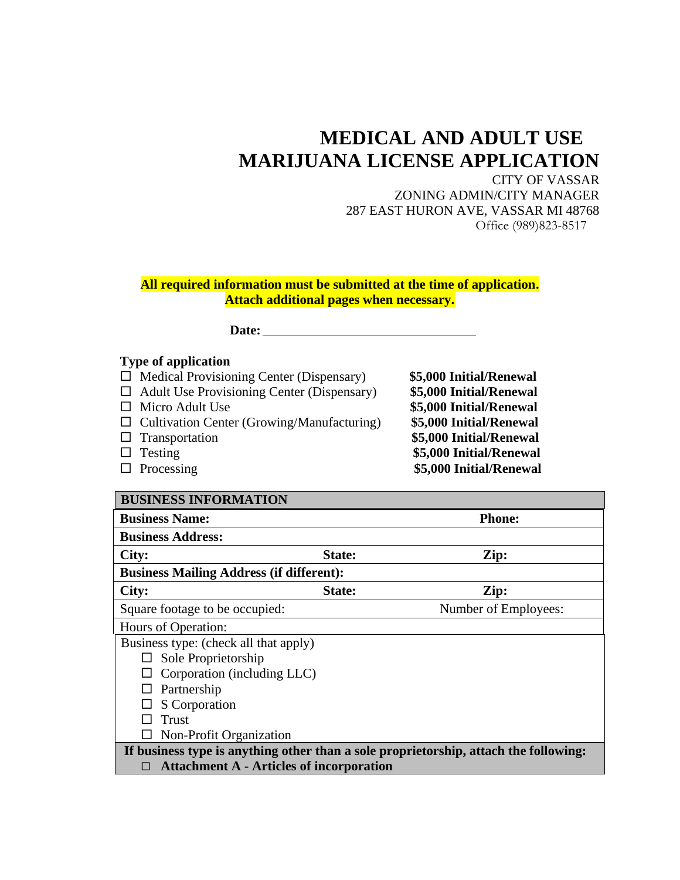## **MEDICAL AND ADULT USE MARIJUANA LICENSE APPLICATION**

CITY OF VASSAR ZONING ADMIN/CITY MANAGER 287 EAST HURON AVE, VASSAR MI 48768 Office (989)823-8517

**All required information must be submitted at the time of application. Attach additional pages when necessary.**

 **Date:**

## **Type of application**

- Medical Provisioning Center (Dispensary) **\$5,000 Initial/Renewal**
- Adult Use Provisioning Center (Dispensary) **\$5,000 Initial/Renewal** Micro Adult Use **\$5,000 Initial/Renewal** □ Cultivation Center (Growing/Manufacturing) Transportation **\$5,000 Initial/Renewal** Testing **\$5,000 Initial/Renewal** Processing **\$5,000 Initial/Renewal**

| <b>BUSINESS INFORMATION</b>                                                          |        |                      |
|--------------------------------------------------------------------------------------|--------|----------------------|
| <b>Business Name:</b>                                                                |        | <b>Phone:</b>        |
| <b>Business Address:</b>                                                             |        |                      |
| City:                                                                                | State: | Zip:                 |
| <b>Business Mailing Address (if different):</b>                                      |        |                      |
| City:                                                                                | State: | Zip:                 |
| Square footage to be occupied:                                                       |        | Number of Employees: |
| Hours of Operation:                                                                  |        |                      |
| Business type: (check all that apply)                                                |        |                      |
| Sole Proprietorship                                                                  |        |                      |
| Corporation (including LLC)                                                          |        |                      |
| Partnership                                                                          |        |                      |
| S Corporation                                                                        |        |                      |
| Trust                                                                                |        |                      |
| Non-Profit Organization                                                              |        |                      |
| If business type is anything other than a sole proprietorship, attach the following: |        |                      |
| <b>Attachment A - Articles of incorporation</b>                                      |        |                      |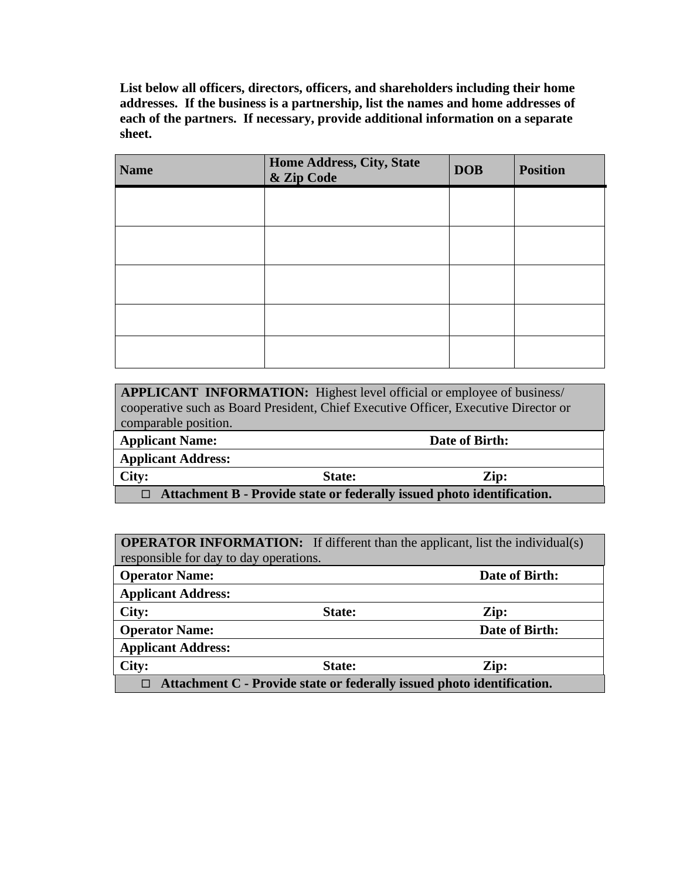**List below all officers, directors, officers, and shareholders including their home addresses. If the business is a partnership, list the names and home addresses of each of the partners. If necessary, provide additional information on a separate sheet.**

| <b>Name</b> | <b>Home Address, City, State</b><br>& Zip Code | <b>DOB</b> | <b>Position</b> |
|-------------|------------------------------------------------|------------|-----------------|
|             |                                                |            |                 |
|             |                                                |            |                 |
|             |                                                |            |                 |
|             |                                                |            |                 |
|             |                                                |            |                 |

| <b>APPLICANT INFORMATION:</b> Highest level official or employee of business/       |                |      |
|-------------------------------------------------------------------------------------|----------------|------|
| cooperative such as Board President, Chief Executive Officer, Executive Director or |                |      |
| comparable position.                                                                |                |      |
| <b>Applicant Name:</b>                                                              | Date of Birth: |      |
| <b>Applicant Address:</b>                                                           |                |      |
| City:                                                                               | <b>State:</b>  | Zip: |
| Attachment B - Provide state or federally issued photo identification.              |                |      |

**OPERATOR INFORMATION:** If different than the applicant, list the individual(s) responsible for day to day operations.

| <b>Operator Name:</b>                                                  |        | Date of Birth: |
|------------------------------------------------------------------------|--------|----------------|
| <b>Applicant Address:</b>                                              |        |                |
| City:                                                                  | State: | Zip:           |
| <b>Operator Name:</b>                                                  |        | Date of Birth: |
| <b>Applicant Address:</b>                                              |        |                |
| City:                                                                  | State: | Zip:           |
| Attachment C - Provide state or federally issued photo identification. |        |                |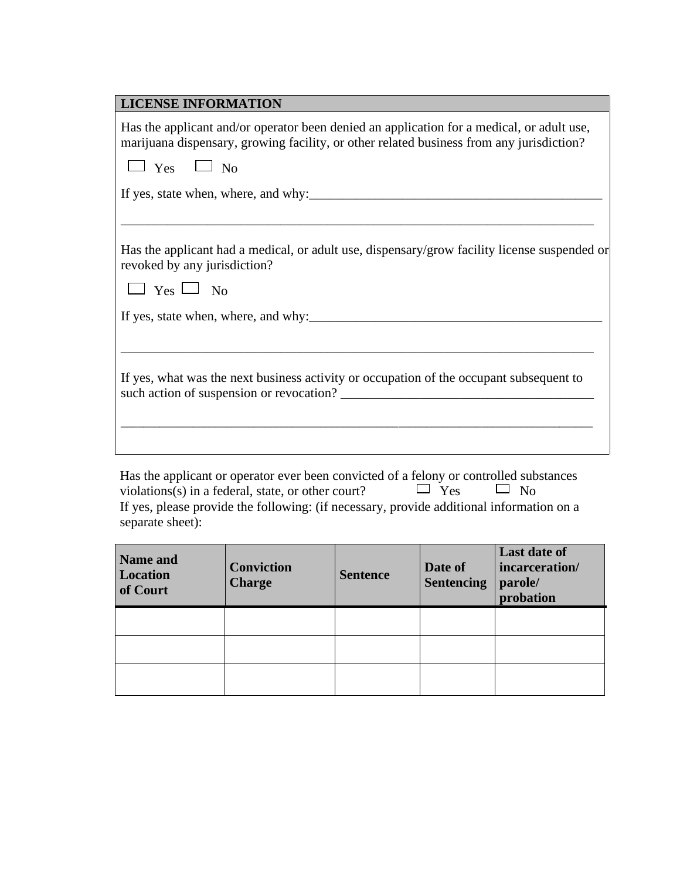Has the applicant or operator ever been convicted of a felony or controlled substances violations(s) in a federal, state, or other court?  $\Box$  Yes  $\Box$  No If yes, please provide the following: (if necessary, provide additional information on a separate sheet):

| Name and<br>Location<br>of Court | <b>Conviction</b><br><b>Charge</b> | <b>Sentence</b> | Date of<br><b>Sentencing</b> | <b>Last date of</b><br>incarceration/<br>parole/<br>probation |
|----------------------------------|------------------------------------|-----------------|------------------------------|---------------------------------------------------------------|
|                                  |                                    |                 |                              |                                                               |
|                                  |                                    |                 |                              |                                                               |
|                                  |                                    |                 |                              |                                                               |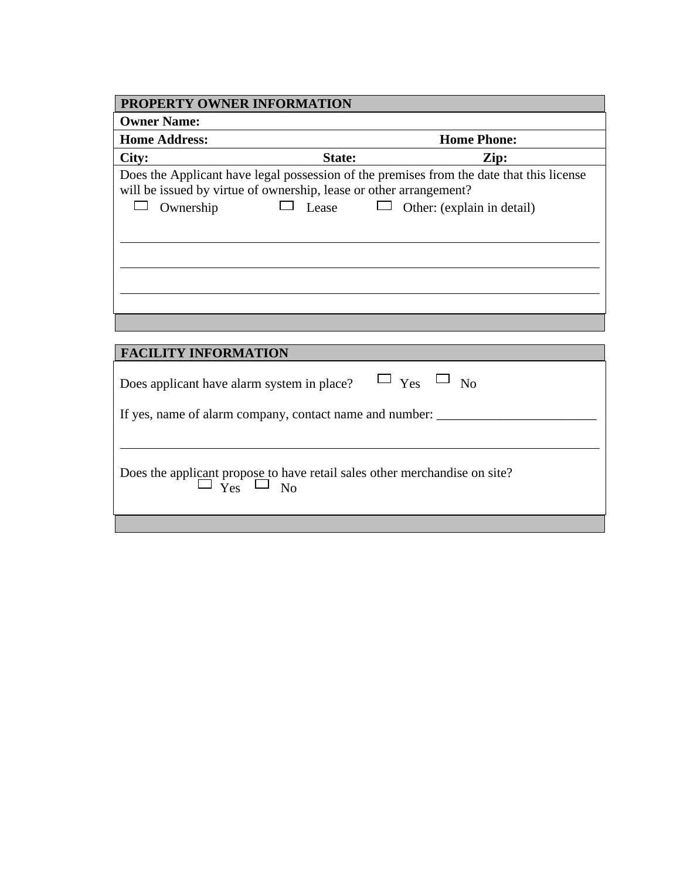| <b>PROPERTY OWNER INFORMATION</b>                                  |        |                                                                                          |
|--------------------------------------------------------------------|--------|------------------------------------------------------------------------------------------|
| <b>Owner Name:</b>                                                 |        |                                                                                          |
| <b>Home Address:</b>                                               |        | <b>Home Phone:</b>                                                                       |
| City:                                                              | State: | Zip:                                                                                     |
| will be issued by virtue of ownership, lease or other arrangement? |        | Does the Applicant have legal possession of the premises from the date that this license |
| Ownership                                                          | Lease  | Other: (explain in detail)                                                               |
|                                                                    |        |                                                                                          |
|                                                                    |        |                                                                                          |
|                                                                    |        |                                                                                          |
|                                                                    |        |                                                                                          |
|                                                                    |        |                                                                                          |
|                                                                    |        |                                                                                          |
|                                                                    |        |                                                                                          |
| <b>FACILITY INFORMATION</b>                                        |        |                                                                                          |
| Does applicant have alarm system in place?                         |        | $_{\text{Yes}}$ $\Box$ <sub>No</sub>                                                     |
| If yes, name of alarm company, contact name and number:            |        |                                                                                          |

Does the applicant propose to have retail sales other merchandise on site?  $\Box$  Yes  $\Box$  No